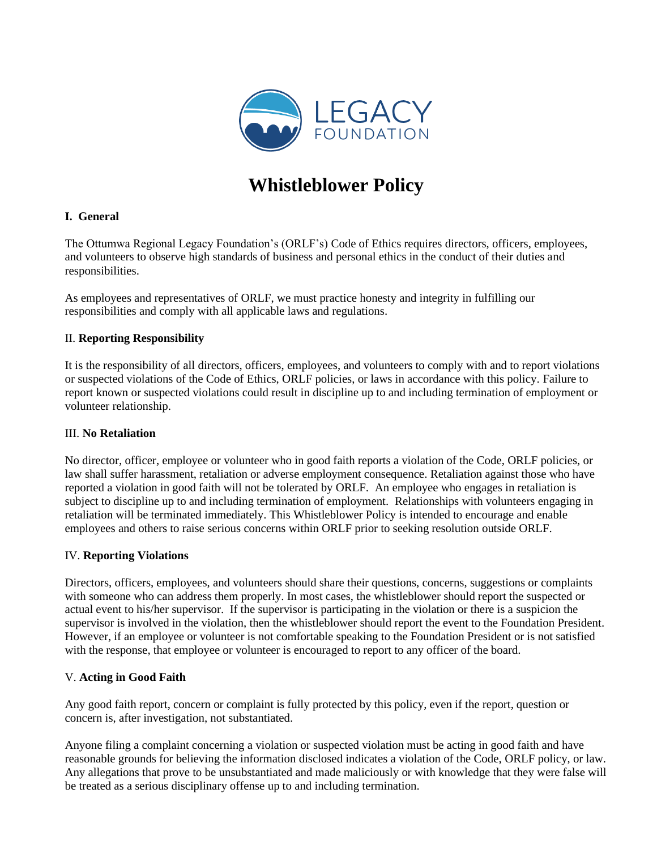

# **Whistleblower Policy**

## **I. General**

The Ottumwa Regional Legacy Foundation's (ORLF's) Code of Ethics requires directors, officers, employees, and volunteers to observe high standards of business and personal ethics in the conduct of their duties and responsibilities.

As employees and representatives of ORLF, we must practice honesty and integrity in fulfilling our responsibilities and comply with all applicable laws and regulations.

## II. **Reporting Responsibility**

It is the responsibility of all directors, officers, employees, and volunteers to comply with and to report violations or suspected violations of the Code of Ethics, ORLF policies, or laws in accordance with this policy. Failure to report known or suspected violations could result in discipline up to and including termination of employment or volunteer relationship.

#### III. **No Retaliation**

No director, officer, employee or volunteer who in good faith reports a violation of the Code, ORLF policies, or law shall suffer harassment, retaliation or adverse employment consequence. Retaliation against those who have reported a violation in good faith will not be tolerated by ORLF. An employee who engages in retaliation is subject to discipline up to and including termination of employment. Relationships with volunteers engaging in retaliation will be terminated immediately. This Whistleblower Policy is intended to encourage and enable employees and others to raise serious concerns within ORLF prior to seeking resolution outside ORLF.

#### IV. **Reporting Violations**

Directors, officers, employees, and volunteers should share their questions, concerns, suggestions or complaints with someone who can address them properly. In most cases, the whistleblower should report the suspected or actual event to his/her supervisor. If the supervisor is participating in the violation or there is a suspicion the supervisor is involved in the violation, then the whistleblower should report the event to the Foundation President. However, if an employee or volunteer is not comfortable speaking to the Foundation President or is not satisfied with the response, that employee or volunteer is encouraged to report to any officer of the board.

## V. **Acting in Good Faith**

Any good faith report, concern or complaint is fully protected by this policy, even if the report, question or concern is, after investigation, not substantiated.

Anyone filing a complaint concerning a violation or suspected violation must be acting in good faith and have reasonable grounds for believing the information disclosed indicates a violation of the Code, ORLF policy, or law. Any allegations that prove to be unsubstantiated and made maliciously or with knowledge that they were false will be treated as a serious disciplinary offense up to and including termination.